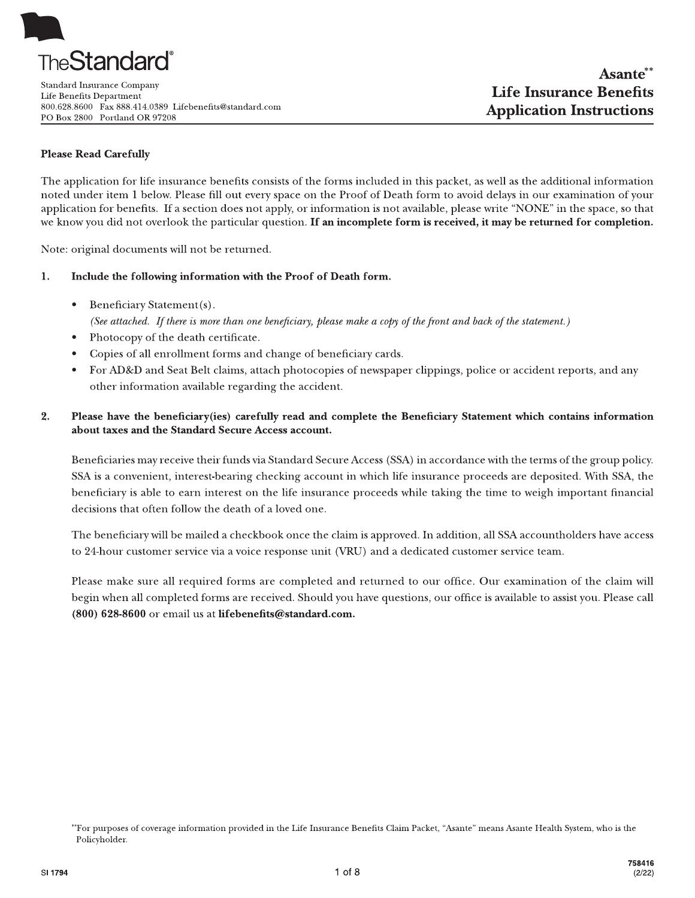Standard Insurance Company Life Benefits Department 800.628.8600 Fax 888.414.0389 Lifebenefits@standard.com PO Box 2800 Portland OR 97208

# **Please Read Carefully**

The application for life insurance benefits consists of the forms included in this packet, as well as the additional information noted under item 1 below. Please fill out every space on the Proof of Death form to avoid delays in our examination of your application for benefits. If a section does not apply, or information is not available, please write "NONE" in the space, so that we know you did not overlook the particular question. If an incomplete form is received, it may be returned for completion.

Note: original documents will not be returned.

#### 1. Include the following information with the Proof of Death form.

Beneficiary Statement(s).  $\bullet$ 

(See attached. If there is more than one beneficiary, please make a copy of the front and back of the statement.)

- Photocopy of the death certificate.
- Copies of all enrollment forms and change of beneficiary cards.
- For AD&D and Seat Belt claims, attach photocopies of newspaper clippings, police or accident reports, and any other information available regarding the accident.

#### $2.$ Please have the beneficiary(ies) carefully read and complete the Beneficiary Statement which contains information about taxes and the Standard Secure Access account.

Beneficiaries may receive their funds via Standard Secure Access (SSA) in accordance with the terms of the group policy. SSA is a convenient, interest-bearing checking account in which life insurance proceeds are deposited. With SSA, the beneficiary is able to earn interest on the life insurance proceeds while taking the time to weigh important financial decisions that often follow the death of a loved one.

The beneficiary will be mailed a checkbook once the claim is approved. In addition, all SSA accountholders have access to 24-hour customer service via a voice response unit (VRU) and a dedicated customer service team.

Please make sure all required forms are completed and returned to our office. Our examination of the claim will begin when all completed forms are received. Should you have questions, our office is available to assist you. Please call (800) 628-8600 or email us at lifebenefits@standard.com.

<sup>\*</sup>For purposes of coverage information provided in the Life Insurance Benefits Claim Packet, "Asante" means Asante Health System, who is the Policyholder.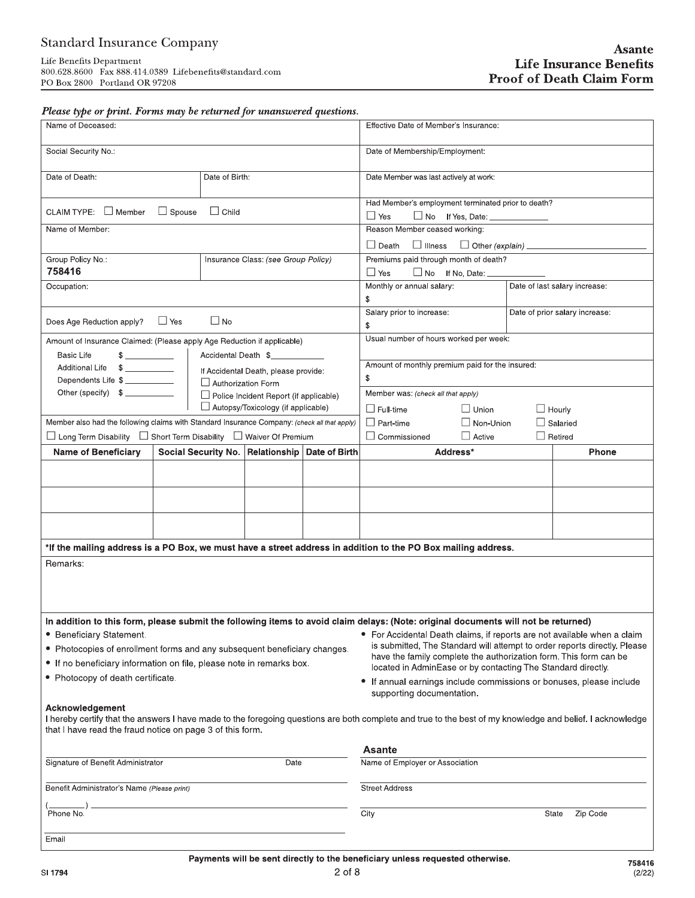| Please type or print. Forms may be returned for unanswered questions. |  |
|-----------------------------------------------------------------------|--|
|-----------------------------------------------------------------------|--|

| <b>Standard Insurance Company</b>                                                                                                                 |                |                           |                                                  |                                        |                                                                                                                                                           |                                  | Asante                         |  |
|---------------------------------------------------------------------------------------------------------------------------------------------------|----------------|---------------------------|--------------------------------------------------|----------------------------------------|-----------------------------------------------------------------------------------------------------------------------------------------------------------|----------------------------------|--------------------------------|--|
| Life Benefits Department<br>800.628.8600 Fax 888.414.0389 Lifebenefits@standard.com<br>PO Box 2800 Portland OR 97208                              |                |                           |                                                  |                                        |                                                                                                                                                           |                                  | <b>Life Insurance Benefits</b> |  |
|                                                                                                                                                   |                |                           |                                                  |                                        | <b>Proof of Death Claim Form</b>                                                                                                                          |                                  |                                |  |
|                                                                                                                                                   |                |                           |                                                  |                                        |                                                                                                                                                           |                                  |                                |  |
| Please type or print. Forms may be returned for unanswered questions.<br>Name of Deceased:                                                        |                |                           |                                                  |                                        | Effective Date of Member's Insurance:                                                                                                                     |                                  |                                |  |
| Social Security No.:                                                                                                                              |                |                           |                                                  |                                        | Date of Membership/Employment:                                                                                                                            |                                  |                                |  |
| Date of Death:                                                                                                                                    |                |                           |                                                  | Date Member was last actively at work: |                                                                                                                                                           |                                  |                                |  |
|                                                                                                                                                   | Date of Birth: |                           |                                                  |                                        |                                                                                                                                                           |                                  |                                |  |
| CLAIM TYPE: □ Member □ Spouse □ Child                                                                                                             |                |                           |                                                  |                                        | Had Member's employment terminated prior to death?<br>$\Box$ Yes<br>No If Yes, Date: ____________                                                         |                                  |                                |  |
| Name of Member:                                                                                                                                   |                |                           |                                                  |                                        | Reason Member ceased working:                                                                                                                             |                                  |                                |  |
|                                                                                                                                                   |                |                           |                                                  |                                        |                                                                                                                                                           |                                  |                                |  |
| Group Policy No.:<br>758416                                                                                                                       |                |                           | Insurance Class: (see Group Policy)              |                                        | Premiums paid through month of death?<br>$\Box$ Yes<br>No If No, Date:                                                                                    |                                  |                                |  |
| Occupation:                                                                                                                                       |                |                           |                                                  |                                        | Monthly or annual salary:                                                                                                                                 |                                  | Date of last salary increase:  |  |
|                                                                                                                                                   |                |                           |                                                  |                                        | \$<br>Salary prior to increase:                                                                                                                           |                                  | Date of prior salary increase: |  |
| Does Age Reduction apply? □ Yes                                                                                                                   |                | $\Box$ No                 |                                                  |                                        | \$                                                                                                                                                        |                                  |                                |  |
| Amount of Insurance Claimed: (Please apply Age Reduction if applicable)<br><b>Basic Life</b><br>$\frac{1}{2}$                                     |                |                           | Accidental Death \$                              |                                        | Usual number of hours worked per week:                                                                                                                    |                                  |                                |  |
| Additional Life \$                                                                                                                                |                |                           | If Accidental Death, please provide:             |                                        | Amount of monthly premium paid for the insured:                                                                                                           |                                  |                                |  |
| Dependents Life \$                                                                                                                                |                | $\Box$ Authorization Form |                                                  |                                        |                                                                                                                                                           | \$                               |                                |  |
| Other (specify) \$<br>$\Box$ Police Incident Report (if applicable)<br>$\Box$ Autopsy/Toxicology (if applicable)                                  |                |                           |                                                  |                                        |                                                                                                                                                           |                                  |                                |  |
|                                                                                                                                                   |                |                           |                                                  |                                        | Member was: (check all that apply)                                                                                                                        |                                  |                                |  |
| Member also had the following claims with Standard Insurance Company: (check all that apply)                                                      |                |                           |                                                  |                                        | $\Box$ Full-time<br>$\Box$ Union<br>$\Box$ Part-time<br>$\Box$ Non-Union                                                                                  | $\Box$ Hourly<br>$\Box$ Salaried |                                |  |
| $\Box$ Long Term Disability $\Box$ Short Term Disability $\Box$ Waiver Of Premium                                                                 |                |                           |                                                  |                                        | $\Box$ Commissioned<br>$\Box$ Active                                                                                                                      | $\Box$ Retired                   |                                |  |
| <b>Name of Beneficiary</b>                                                                                                                        |                |                           | Social Security No. Relationship   Date of Birth |                                        | Address*                                                                                                                                                  |                                  | <b>Phone</b>                   |  |
|                                                                                                                                                   |                |                           |                                                  |                                        |                                                                                                                                                           |                                  |                                |  |
|                                                                                                                                                   |                |                           |                                                  |                                        |                                                                                                                                                           |                                  |                                |  |
|                                                                                                                                                   |                |                           |                                                  |                                        |                                                                                                                                                           |                                  |                                |  |
|                                                                                                                                                   |                |                           |                                                  |                                        |                                                                                                                                                           |                                  |                                |  |
|                                                                                                                                                   |                |                           |                                                  |                                        | *If the mailing address is a PO Box, we must have a street address in addition to the PO Box mailing address.                                             |                                  |                                |  |
| Remarks:                                                                                                                                          |                |                           |                                                  |                                        |                                                                                                                                                           |                                  |                                |  |
|                                                                                                                                                   |                |                           |                                                  |                                        |                                                                                                                                                           |                                  |                                |  |
|                                                                                                                                                   |                |                           |                                                  |                                        |                                                                                                                                                           |                                  |                                |  |
|                                                                                                                                                   |                |                           |                                                  |                                        | In addition to this form, please submit the following items to avoid claim delays: (Note: original documents will not be returned)                        |                                  |                                |  |
| • Beneficiary Statement.                                                                                                                          |                |                           |                                                  |                                        | • For Accidental Death claims, if reports are not available when a claim<br>is submitted, The Standard will attempt to order reports directly. Please     |                                  |                                |  |
| • Photocopies of enrollment forms and any subsequent beneficiary changes.<br>• If no beneficiary information on file, please note in remarks box. |                |                           |                                                  |                                        | have the family complete the authorization form. This form can be                                                                                         |                                  |                                |  |
| • Photocopy of death certificate.                                                                                                                 |                |                           |                                                  |                                        | located in AdminEase or by contacting The Standard directly.<br>• If annual earnings include commissions or bonuses, please include                       |                                  |                                |  |
|                                                                                                                                                   |                |                           |                                                  |                                        | supporting documentation.                                                                                                                                 |                                  |                                |  |
| Acknowledgement<br>that I have read the fraud notice on page 3 of this form.                                                                      |                |                           |                                                  |                                        | I hereby certify that the answers I have made to the foregoing questions are both complete and true to the best of my knowledge and belief. I acknowledge |                                  |                                |  |
|                                                                                                                                                   |                |                           |                                                  |                                        | <b>Asante</b>                                                                                                                                             |                                  |                                |  |
| Signature of Benefit Administrator                                                                                                                |                |                           | Date                                             |                                        | Name of Employer or Association                                                                                                                           |                                  |                                |  |
| Benefit Administrator's Name (Please print)                                                                                                       |                |                           |                                                  |                                        | <b>Street Address</b>                                                                                                                                     |                                  |                                |  |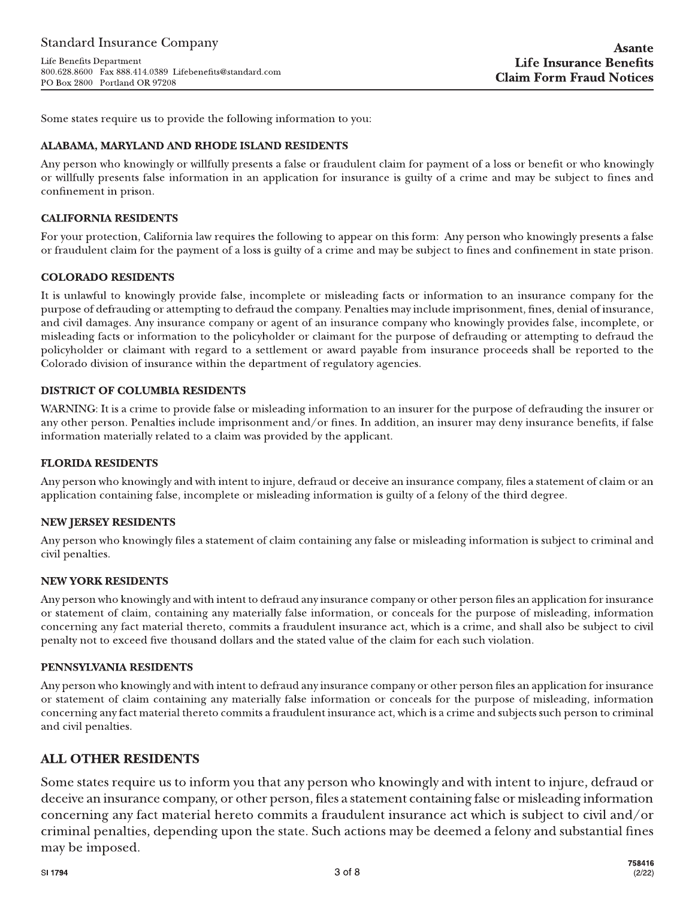Life Benefits Department 800.628.8600 Fax 888.414.0389 Lifebenefits@standard.com PO Box 2800 Portland OR 97208

Some states require us to provide the following information to you:

### ALABAMA, MARYLAND AND RHODE ISLAND RESIDENTS

Any person who knowingly or willfully presents a false or fraudulent claim for payment of a loss or benefit or who knowingly or willfully presents false information in an application for insurance is guilty of a crime and may be subject to fines and confinement in prison.

#### **CALIFORNIA RESIDENTS**

For your protection, California law requires the following to appear on this form: Any person who knowingly presents a false or fraudulent claim for the payment of a loss is guilty of a crime and may be subject to fines and confinement in state prison.

### **COLORADO RESIDENTS**

It is unlawful to knowingly provide false, incomplete or misleading facts or information to an insurance company for the purpose of defrauding or attempting to defraud the company. Penalties may include imprisonment, fines, denial of insurance, and civil damages. Any insurance company or agent of an insurance company who knowingly provides false, incomplete, or misleading facts or information to the policyholder or claimant for the purpose of defrauding or attempting to defraud the policyholder or claimant with regard to a settlement or award payable from insurance proceeds shall be reported to the Colorado division of insurance within the department of regulatory agencies.

### **DISTRICT OF COLUMBIA RESIDENTS**

WARNING: It is a crime to provide false or misleading information to an insurer for the purpose of defrauding the insurer or any other person. Penalties include imprisonment and/or fines. In addition, an insurer may deny insurance benefits, if false information materially related to a claim was provided by the applicant.

#### **FLORIDA RESIDENTS**

Any person who knowingly and with intent to injure, defraud or deceive an insurance company, files a statement of claim or an application containing false, incomplete or misleading information is guilty of a felony of the third degree.

#### **NEW JERSEY RESIDENTS**

Any person who knowingly files a statement of claim containing any false or misleading information is subject to criminal and civil penalties.

#### **NEW YORK RESIDENTS**

Any person who knowingly and with intent to defraud any insurance company or other person files an application for insurance or statement of claim, containing any materially false information, or conceals for the purpose of misleading, information concerning any fact material thereto, commits a fraudulent insurance act, which is a crime, and shall also be subject to civil penalty not to exceed five thousand dollars and the stated value of the claim for each such violation.

#### PENNSYLVANIA RESIDENTS

Any person who knowingly and with intent to defraud any insurance company or other person files an application for insurance or statement of claim containing any materially false information or conceals for the purpose of misleading, information concerning any fact material thereto commits a fraudulent insurance act, which is a crime and subjects such person to criminal and civil penalties.

# **ALL OTHER RESIDENTS**

Some states require us to inform you that any person who knowingly and with intent to injure, defraud or deceive an insurance company, or other person, files a statement containing false or misleading information concerning any fact material hereto commits a fraudulent insurance act which is subject to civil and/or criminal penalties, depending upon the state. Such actions may be deemed a felony and substantial fines may be imposed.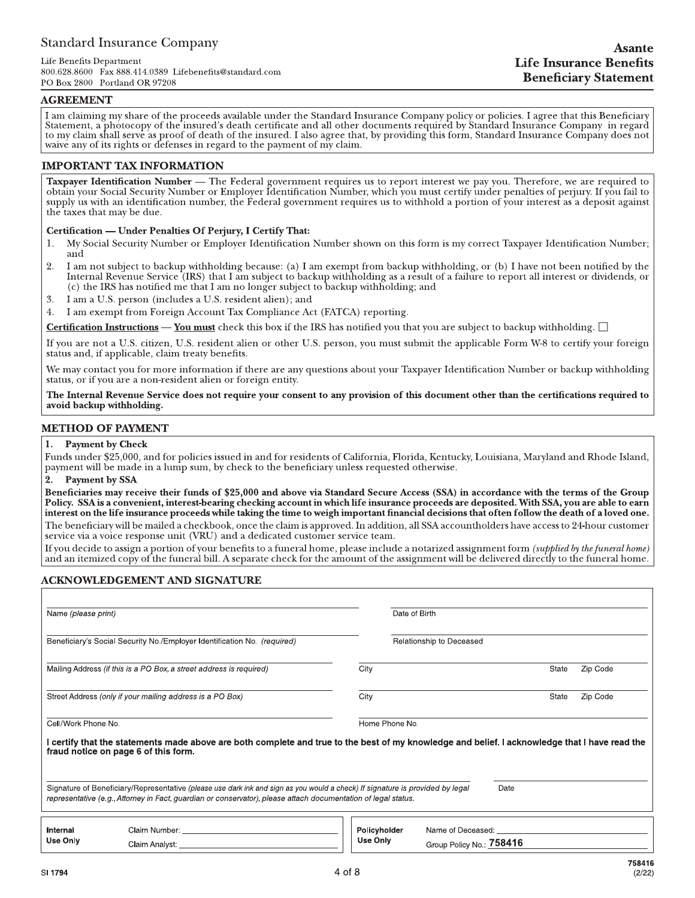#### $AGREEMENT$

**Examplared Insurance Company**<br>
Life Benefits<br>
800.628.8600 Pax 888.414.0389 Lifebenefits@standard.com<br>
PO Box 2800 Portland OR 97208<br>
PO Box 2800 Portland OR 97208<br>
Tam claiming my share of the proceeds available under th I am claiming my share of the proceeds available under the Standard Insurance Company policy or policies. I agree that this Beneficiary Statement, a photocopy of the insured's death certificate and all other documents requ

#### IMPORTANT TAX INFORMATION

Taxpayer Identification Number — The Federal government requires us to report interest we pay you. Therefore, we are required to obtain your Social Security Number or Employer Identification Number, which you must certify

#### Certification — Under Penalties Of Perjury, I Certify That:

- 1. My Social Security Number or Employer Identification Number shown on this form is my correct Taxpayer Identification Number;<br>2. I am not subject to backup withholding because: (a) I am exempt from backup withholding, or
- The service (IRS) that I am subject to backup withholding as a result of a failure to report all interest or dividends, or (c) the IRS has notified me that I am no longer subject to backup withholding; and<br>3. I am a U.S. p
- 3. I am a U.S. person (includes a U.S. resident alien); and<br>4. I am exempt from Foreign Account Tax Compliance Ac
- I am exempt from Foreign Account Tax Compliance Act (FATCA) reporting.

**Certification Instructions — You must** check this box if the IRS has notified you that you are subject to backup withholding.  $\square$ 

If you are not a U.S. citizen, U.S. resident alien or other U.S. person, you must submit the applicable Form W-8 to certify your foreign<br>status and, if applicable, claim treaty benefits.

We may contact you for more information if there are any questions about your Taxpayer Identification Number or backup withholding<br>status, or if you are a non-resident alien or foreign entity.

The Internal Revenue Service does not require your consent to any provision of this document other than the certifications required to avoid backup withholding.

#### **METHOD OF PAYMENT**

1. Payment by Check<br>Funds under \$25,000, and for policies issued in and for residents of California, Florida, Kentucky, Louisiana, Maryland and Rhode Island, payment will be made in a lump sum, by check to the beneficiary unless requested otherwise.<br>2. Payment by SSA

#### Payment by SSA

Beneficiaries may receive their funds of \$25,000 and above via Standard Secure Access (SSA) in accordance with the terms of the Group Policy. SSA is a convenient, interest-bearing checking account in which life insurance proceeds are deposited. With SSA, you are able to earn interest on the life insurance proceeds while taking the time to weigh important financial decisions that often follow the death of a loved one. The beneficiary will be mailed a checkbook, once the claim is approved. In addition, all SSA accountholders have access to 24-hour customer service via a voice response unit (VRU) and a dedicated customer service team.<br>If

and an itemized copy of the funeral bill. A separate check for the amount of the assignment will be delivered directly to the funeral home.

#### ACKNOWLEDGEMENT AND SIGNATURE

| Name (please print)                                                                                                                                                                                                                                     |                                                                          | Date of Birth            |                                               |          |  |  |  |  |  |  |
|---------------------------------------------------------------------------------------------------------------------------------------------------------------------------------------------------------------------------------------------------------|--------------------------------------------------------------------------|--------------------------|-----------------------------------------------|----------|--|--|--|--|--|--|
|                                                                                                                                                                                                                                                         | Beneficiary's Social Security No./Employer Identification No. (required) |                          | Relationship to Deceased                      |          |  |  |  |  |  |  |
|                                                                                                                                                                                                                                                         | Mailing Address (if this is a PO Box, a street address is required)      | City                     | State                                         | Zip Code |  |  |  |  |  |  |
|                                                                                                                                                                                                                                                         | Street Address (only if your mailing address is a PO Box)                | City                     | State                                         | Zip Code |  |  |  |  |  |  |
| Home Phone No.<br>Cell/Work Phone No.<br>l certify that the statements made above are both complete and true to the best of my knowledge and belief. I acknowledge that I have read the<br>fraud notice on page 6 of this form.                         |                                                                          |                          |                                               |          |  |  |  |  |  |  |
| Signature of Beneficiary/Representative (please use dark ink and sign as you would a check) If signature is provided by legal<br>Date<br>representative (e.g., Attorney in Fact, guardian or conservator), please attach documentation of legal status. |                                                                          |                          |                                               |          |  |  |  |  |  |  |
| Internal<br>Use Only                                                                                                                                                                                                                                    | Claim Number: The Claim Number of the Claim Number                       | Policyholder<br>Use Only | Name of Deceased:<br>Group Policy No.: 758416 |          |  |  |  |  |  |  |
|                                                                                                                                                                                                                                                         |                                                                          | $\cdot$ $\cdot$ $\sim$   |                                               | 758416   |  |  |  |  |  |  |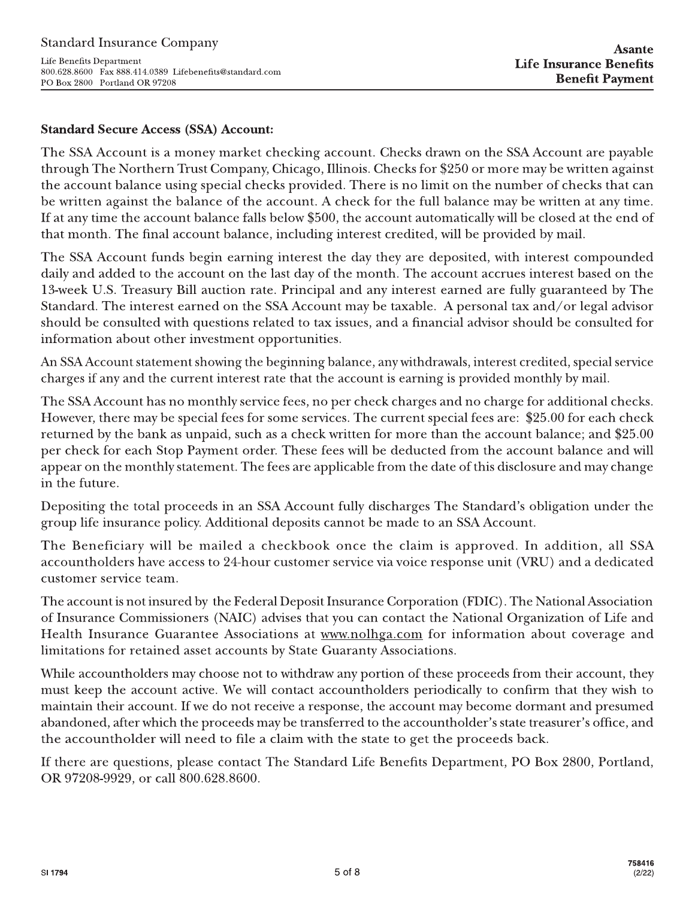Life Benefits Department 800.628.8600 Fax 888.414.0389 Lifebenefits@standard.com PO Box 2800 Portland OR 97208

# **Standard Secure Access (SSA) Account:**

The SSA Account is a money market checking account. Checks drawn on the SSA Account are payable through The Northern Trust Company, Chicago, Illinois. Checks for \$250 or more may be written against the account balance using special checks provided. There is no limit on the number of checks that can be written against the balance of the account. A check for the full balance may be written at any time. If at any time the account balance falls below \$500, the account automatically will be closed at the end of that month. The final account balance, including interest credited, will be provided by mail.

The SSA Account funds begin earning interest the day they are deposited, with interest compounded daily and added to the account on the last day of the month. The account accrues interest based on the 13-week U.S. Treasury Bill auction rate. Principal and any interest earned are fully guaranteed by The Standard. The interest earned on the SSA Account may be taxable. A personal tax and/or legal advisor should be consulted with questions related to tax issues, and a financial advisor should be consulted for information about other investment opportunities.

An SSA Account statement showing the beginning balance, any withdrawals, interest credited, special service charges if any and the current interest rate that the account is earning is provided monthly by mail.

The SSA Account has no monthly service fees, no per check charges and no charge for additional checks. However, there may be special fees for some services. The current special fees are: \$25.00 for each check returned by the bank as unpaid, such as a check written for more than the account balance; and \$25.00 per check for each Stop Payment order. These fees will be deducted from the account balance and will appear on the monthly statement. The fees are applicable from the date of this disclosure and may change in the future.

Depositing the total proceeds in an SSA Account fully discharges The Standard's obligation under the group life insurance policy. Additional deposits cannot be made to an SSA Account.

The Beneficiary will be mailed a checkbook once the claim is approved. In addition, all SSA accountholders have access to 24-hour customer service via voice response unit (VRU) and a dedicated customer service team.

The account is not insured by the Federal Deposit Insurance Corporation (FDIC). The National Association of Insurance Commissioners (NAIC) advises that you can contact the National Organization of Life and Health Insurance Guarantee Associations at www.nolhga.com for information about coverage and limitations for retained asset accounts by State Guaranty Associations.

While accountholders may choose not to withdraw any portion of these proceeds from their account, they must keep the account active. We will contact accountholders periodically to confirm that they wish to maintain their account. If we do not receive a response, the account may become dormant and presumed abandoned, after which the proceeds may be transferred to the accountholder's state treasurer's office, and the accountholder will need to file a claim with the state to get the proceeds back.

If there are questions, please contact The Standard Life Benefits Department, PO Box 2800, Portland, OR 97208-9929, or call 800.628.8600.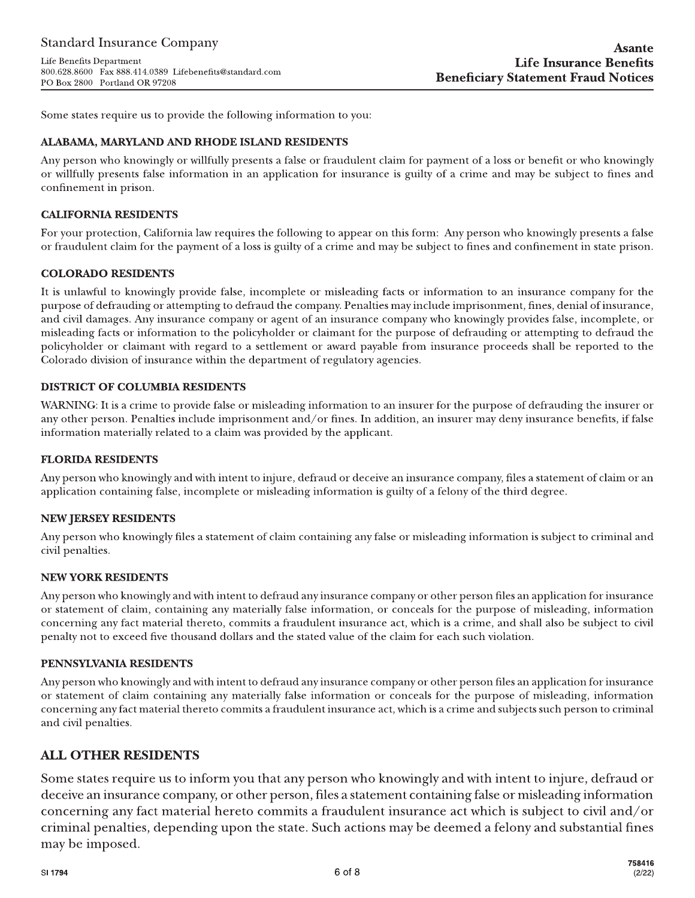Life Benefits Department 800.628.8600 Fax 888.414.0389 Lifebenefits@standard.com PO Box 2800 Portland OR 97208

Some states require us to provide the following information to you:

### ALABAMA, MARYLAND AND RHODE ISLAND RESIDENTS

Any person who knowingly or willfully presents a false or fraudulent claim for payment of a loss or benefit or who knowingly or willfully presents false information in an application for insurance is guilty of a crime and may be subject to fines and confinement in prison.

#### **CALIFORNIA RESIDENTS**

For your protection, California law requires the following to appear on this form: Any person who knowingly presents a false or fraudulent claim for the payment of a loss is guilty of a crime and may be subject to fines and confinement in state prison.

### **COLORADO RESIDENTS**

It is unlawful to knowingly provide false, incomplete or misleading facts or information to an insurance company for the purpose of defrauding or attempting to defraud the company. Penalties may include imprisonment, fines, denial of insurance, and civil damages. Any insurance company or agent of an insurance company who knowingly provides false, incomplete, or misleading facts or information to the policyholder or claimant for the purpose of defrauding or attempting to defraud the policyholder or claimant with regard to a settlement or award payable from insurance proceeds shall be reported to the Colorado division of insurance within the department of regulatory agencies.

### **DISTRICT OF COLUMBIA RESIDENTS**

WARNING: It is a crime to provide false or misleading information to an insurer for the purpose of defrauding the insurer or any other person. Penalties include imprisonment and/or fines. In addition, an insurer may deny insurance benefits, if false information materially related to a claim was provided by the applicant.

#### **FLORIDA RESIDENTS**

Any person who knowingly and with intent to injure, defraud or deceive an insurance company, files a statement of claim or an application containing false, incomplete or misleading information is guilty of a felony of the third degree.

#### **NEW JERSEY RESIDENTS**

Any person who knowingly files a statement of claim containing any false or misleading information is subject to criminal and civil penalties.

#### **NEW YORK RESIDENTS**

Any person who knowingly and with intent to defraud any insurance company or other person files an application for insurance or statement of claim, containing any materially false information, or conceals for the purpose of misleading, information concerning any fact material thereto, commits a fraudulent insurance act, which is a crime, and shall also be subject to civil penalty not to exceed five thousand dollars and the stated value of the claim for each such violation.

#### PENNSYLVANIA RESIDENTS

Any person who knowingly and with intent to defraud any insurance company or other person files an application for insurance or statement of claim containing any materially false information or conceals for the purpose of misleading, information concerning any fact material thereto commits a fraudulent insurance act, which is a crime and subjects such person to criminal and civil penalties.

# **ALL OTHER RESIDENTS**

Some states require us to inform you that any person who knowingly and with intent to injure, defraud or deceive an insurance company, or other person, files a statement containing false or misleading information concerning any fact material hereto commits a fraudulent insurance act which is subject to civil and/or criminal penalties, depending upon the state. Such actions may be deemed a felony and substantial fines may be imposed.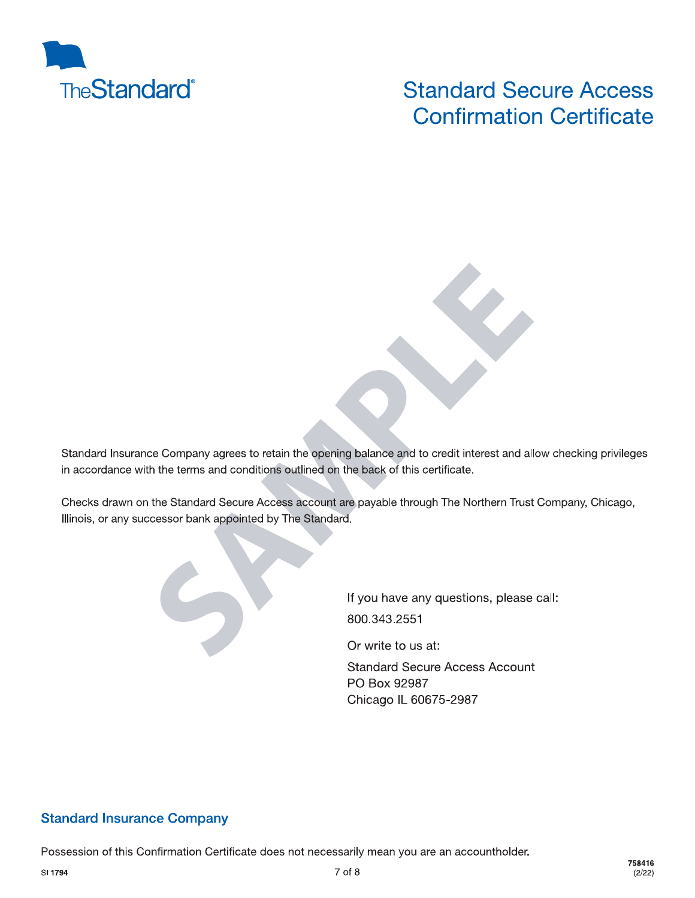

# **Standard Secure Access Confirmation Certificate**

Standard Insurance Company agrees to retain the opening balance and to credit interest and allow checking privileges in accordance with the terms and conditions outlined on the back of this certificate.

Checks drawn on the Standard Secure Access account are payable through The Northern Trust Company, Chicago, Illinois, or any successor bank appointed by The Standard.



Or write to us at:

**Standard Secure Access Account** PO Box 92987 Chicago IL 60675-2987

# **Standard Insurance Company**

Possession of this Confirmation Certificate does not necessarily mean you are an accountholder.